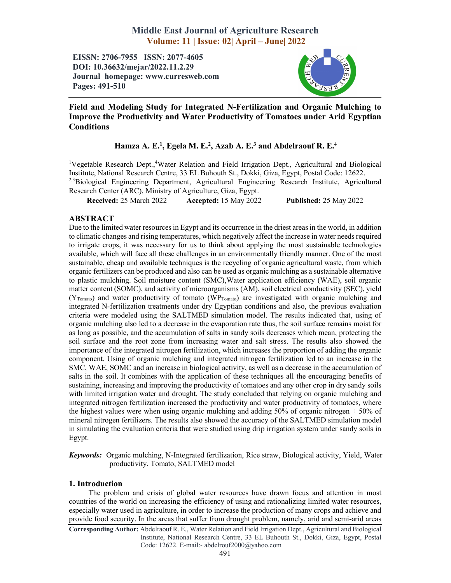# Middle East Journal of Agriculture Research Volume: 11 | Issue: 02| April – June| 2022

EISSN: 2706-7955 ISSN: 2077-4605 DOI: 10.36632/mejar/2022.11.2.29 Journal homepage: www.curresweb.com Pages: 491-510



Field and Modeling Study for Integrated N-Fertilization and Organic Mulching to Improve the Productivity and Water Productivity of Tomatoes under Arid Egyptian Conditions

# Hamza A. E.<sup>1</sup>, Egela M. E.<sup>2</sup>, Azab A. E.<sup>3</sup> and Abdelraouf R. E.<sup>4</sup>

<sup>1</sup>Vegetable Research Dept.,<sup>4</sup>Water Relation and Field Irrigation Dept., Agricultural and Biological Institute, National Research Centre, 33 EL Buhouth St., Dokki, Giza, Egypt, Postal Code: 12622. <sup>2,3</sup>Biological Engineering Department, Agricultural Engineering Research Institute, Agricultural Research Center (ARC), Ministry of Agriculture, Giza, Egypt.

Received: 25 March 2022 Accepted: 15 May 2022 Published: 25 May 2022

# ABSTRACT

Due to the limited water resources in Egypt and its occurrence in the driest areas in the world, in addition to climatic changes and rising temperatures, which negatively affect the increase in water needs required to irrigate crops, it was necessary for us to think about applying the most sustainable technologies available, which will face all these challenges in an environmentally friendly manner. One of the most sustainable, cheap and available techniques is the recycling of organic agricultural waste, from which organic fertilizers can be produced and also can be used as organic mulching as a sustainable alternative to plastic mulching. Soil moisture content (SMC),Water application efficiency (WAE), soil organic matter content (SOMC), and activity of microorganisms (AM), soil electrical conductivity (SEC), yield  $(Y_{Tomato})$  and water productivity of tomato (WP<sub>Tomato</sub>) are investigated with organic mulching and integrated N-fertilization treatments under dry Egyptian conditions and also, the previous evaluation criteria were modeled using the SALTMED simulation model. The results indicated that, using of organic mulching also led to a decrease in the evaporation rate thus, the soil surface remains moist for as long as possible, and the accumulation of salts in sandy soils decreases which mean, protecting the soil surface and the root zone from increasing water and salt stress. The results also showed the importance of the integrated nitrogen fertilization, which increases the proportion of adding the organic component. Using of organic mulching and integrated nitrogen fertilization led to an increase in the SMC, WAE, SOMC and an increase in biological activity, as well as a decrease in the accumulation of salts in the soil. It combines with the application of these techniques all the encouraging benefits of sustaining, increasing and improving the productivity of tomatoes and any other crop in dry sandy soils with limited irrigation water and drought. The study concluded that relying on organic mulching and integrated nitrogen fertilization increased the productivity and water productivity of tomatoes, where the highest values were when using organic mulching and adding  $50\%$  of organic nitrogen  $+50\%$  of mineral nitrogen fertilizers. The results also showed the accuracy of the SALTMED simulation model in simulating the evaluation criteria that were studied using drip irrigation system under sandy soils in Egypt.

*Keywords:* Organic mulching, N-Integrated fertilization, Rice straw, Biological activity, Yield, Water productivity, Tomato, SALTMED model

## 1. Introduction

The problem and crisis of global water resources have drawn focus and attention in most countries of the world on increasing the efficiency of using and rationalizing limited water resources, especially water used in agriculture, in order to increase the production of many crops and achieve and provide food security. In the areas that suffer from drought problem, namely, arid and semi-arid areas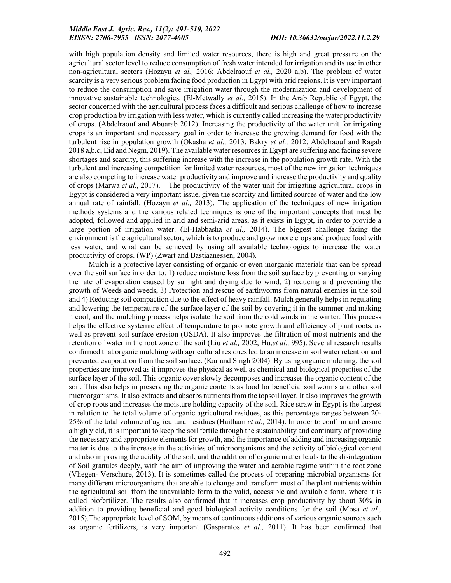with high population density and limited water resources, there is high and great pressure on the agricultural sector level to reduce consumption of fresh water intended for irrigation and its use in other non-agricultural sectors (Hozayn *et al.,* 2016; Abdelraouf *et al.,* 2020 a,b). The problem of water scarcity is a very serious problem facing food production in Egypt with arid regions. It is very important to reduce the consumption and save irrigation water through the modernization and development of innovative sustainable technologies. (El-Metwally *et al.,* 2015). In the Arab Republic of Egypt, the sector concerned with the agricultural process faces a difficult and serious challenge of how to increase crop production by irrigation with less water, which is currently called increasing the water productivity of crops. (Abdelraouf and Abuarab 2012). Increasing the productivity of the water unit for irrigating crops is an important and necessary goal in order to increase the growing demand for food with the turbulent rise in population growth (Okasha *et al.,* 2013; Bakry *et al.,* 2012; Abdelraouf and Ragab 2018 a,b,c; Eid and Negm, 2019). The available water resources in Egypt are suffering and facing severe shortages and scarcity, this suffering increase with the increase in the population growth rate. With the turbulent and increasing competition for limited water resources, most of the new irrigation techniques are also competing to increase water productivity and improve and increase the productivity and quality of crops (Marwa *et al.,* 2017). The productivity of the water unit for irrigating agricultural crops in Egypt is considered a very important issue, given the scarcity and limited sources of water and the low annual rate of rainfall. (Hozayn *et al.,* 2013). The application of the techniques of new irrigation methods systems and the various related techniques is one of the important concepts that must be adopted, followed and applied in arid and semi-arid areas, as it exists in Egypt, in order to provide a large portion of irrigation water. (El-Habbasha *et al.,* 2014). The biggest challenge facing the environment is the agricultural sector, which is to produce and grow more crops and produce food with less water, and what can be achieved by using all available technologies to increase the water productivity of crops. (WP) (Zwart and Bastiaanessen, 2004).

Mulch is a protective layer consisting of organic or even inorganic materials that can be spread over the soil surface in order to: 1) reduce moisture loss from the soil surface by preventing or varying the rate of evaporation caused by sunlight and drying due to wind, 2) reducing and preventing the growth of Weeds and weeds, 3) Protection and rescue of earthworms from natural enemies in the soil and 4) Reducing soil compaction due to the effect of heavy rainfall. Mulch generally helps in regulating and lowering the temperature of the surface layer of the soil by covering it in the summer and making it cool, and the mulching process helps isolate the soil from the cold winds in the winter. This process helps the effective systemic effect of temperature to promote growth and efficiency of plant roots, as well as prevent soil surface erosion (USDA). It also improves the filtration of most nutrients and the retention of water in the root zone of the soil (Liu *et al.,* 2002; Hu,*et al.,* 995). Several research results confirmed that organic mulching with agricultural residues led to an increase in soil water retention and prevented evaporation from the soil surface. (Kar and Singh 2004). By using organic mulching, the soil properties are improved as it improves the physical as well as chemical and biological properties of the surface layer of the soil. This organic cover slowly decomposes and increases the organic content of the soil. This also helps in preserving the organic contents as food for beneficial soil worms and other soil microorganisms. It also extracts and absorbs nutrients from the topsoil layer. It also improves the growth of crop roots and increases the moisture holding capacity of the soil. Rice straw in Egypt is the largest in relation to the total volume of organic agricultural residues, as this percentage ranges between 20- 25% of the total volume of agricultural residues (Haitham *et al.,* 2014). In order to confirm and ensure a high yield, it is important to keep the soil fertile through the sustainability and continuity of providing the necessary and appropriate elements for growth, and the importance of adding and increasing organic matter is due to the increase in the activities of microorganisms and the activity of biological content and also improving the acidity of the soil, and the addition of organic matter leads to the disintegration of Soil granules deeply, with the aim of improving the water and aerobic regime within the root zone (Vliegen- Verschure, 2013). It is sometimes called the process of preparing microbial organisms for many different microorganisms that are able to change and transform most of the plant nutrients within the agricultural soil from the unavailable form to the valid, accessible and available form, where it is called biofertilizer. The results also confirmed that it increases crop productivity by about 30% in addition to providing beneficial and good biological activity conditions for the soil (Mosa *et al.,*  2015).The appropriate level of SOM, by means of continuous additions of various organic sources such as organic fertilizers, is very important (Gasparatos *et al.,* 2011). It has been confirmed that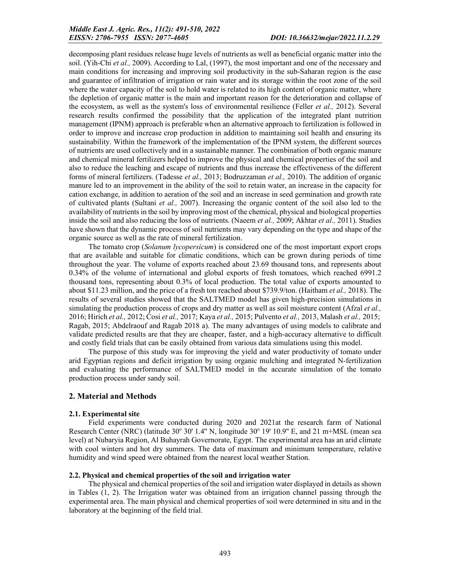decomposing plant residues release huge levels of nutrients as well as beneficial organic matter into the soil. (Yih-Chi *et al.,* 2009). According to Lal, (1997), the most important and one of the necessary and main conditions for increasing and improving soil productivity in the sub-Saharan region is the ease and guarantee of infiltration of irrigation or rain water and its storage within the root zone of the soil where the water capacity of the soil to hold water is related to its high content of organic matter, where the depletion of organic matter is the main and important reason for the deterioration and collapse of the ecosystem, as well as the system's loss of environmental resilience (Feller *et al.,* 2012). Several research results confirmed the possibility that the application of the integrated plant nutrition management (IPNM) approach is preferable when an alternative approach to fertilization is followed in order to improve and increase crop production in addition to maintaining soil health and ensuring its sustainability. Within the framework of the implementation of the IPNM system, the different sources of nutrients are used collectively and in a sustainable manner. The combination of both organic manure and chemical mineral fertilizers helped to improve the physical and chemical properties of the soil and also to reduce the leaching and escape of nutrients and thus increase the effectiveness of the different forms of mineral fertilizers. (Tadesse *et al.,* 2013; Bodruzzaman *et al.,* 2010). The addition of organic manure led to an improvement in the ability of the soil to retain water, an increase in the capacity for cation exchange, in addition to aeration of the soil and an increase in seed germination and growth rate of cultivated plants (Sultani *et al.,* 2007). Increasing the organic content of the soil also led to the availability of nutrients in the soil by improving most of the chemical, physical and biological properties inside the soil and also reducing the loss of nutrients. (Naeem *et al.,* 2009; Akhtar *et al.,* 2011). Studies have shown that the dynamic process of soil nutrients may vary depending on the type and shape of the organic source as well as the rate of mineral fertilization.

The tomato crop (*Solanum lycopersicum*) is considered one of the most important export crops that are available and suitable for climatic conditions, which can be grown during periods of time throughout the year. The volume of exports reached about 23.69 thousand tons, and represents about 0.34% of the volume of international and global exports of fresh tomatoes, which reached 6991.2 thousand tons, representing about 0.3% of local production. The total value of exports amounted to about \$11.23 million, and the price of a fresh ton reached about \$739.9/ton. (Haitham *et al.,* 2018). The results of several studies showed that the SALTMED model has given high-precision simulations in simulating the production process of crops and dry matter as well as soil moisture content (Afzal *et al.,*  2016; Hirich *et al.,* 2012; Ćosi *et al.,* 2017; Kaya *et al.,* 2015; Pulvento *et al.,* 2013, Malash *et al.,* 2015; Ragab, 2015; Abdelraouf and Ragab 2018 a). The many advantages of using models to calibrate and validate predicted results are that they are cheaper, faster, and a high-accuracy alternative to difficult and costly field trials that can be easily obtained from various data simulations using this model.

The purpose of this study was for improving the yield and water productivity of tomato under arid Egyptian regions and deficit irrigation by using organic mulching and integrated N-fertilization and evaluating the performance of SALTMED model in the accurate simulation of the tomato production process under sandy soil.

## 2. Material and Methods

## 2.1. Experimental site

Field experiments were conducted during 2020 and 2021at the research farm of National Research Center (NRC) (latitude  $30^{\circ}$  30' 1.4" N, longitude  $30^{\circ}$  19' 10.9" E, and 21 m+MSL (mean sea level) at Nubaryia Region, Al Buhayrah Governorate, Egypt. The experimental area has an arid climate with cool winters and hot dry summers. The data of maximum and minimum temperature, relative humidity and wind speed were obtained from the nearest local weather Station.

## 2.2. Physical and chemical properties of the soil and irrigation water

The physical and chemical properties of the soil and irrigation water displayed in details as shown in Tables (1, 2). The Irrigation water was obtained from an irrigation channel passing through the experimental area. The main physical and chemical properties of soil were determined in situ and in the laboratory at the beginning of the field trial.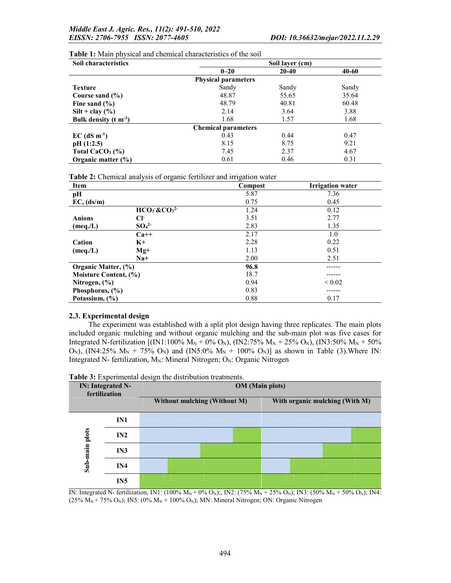| <b>Soil characteristics</b>     | Soil layer (cm)            |           |       |  |  |  |
|---------------------------------|----------------------------|-----------|-------|--|--|--|
|                                 | $0 - 20$                   | $20 - 40$ | 40-60 |  |  |  |
|                                 | <b>Physical parameters</b> |           |       |  |  |  |
| <b>Texture</b>                  | Sandy                      | Sandy     | Sandy |  |  |  |
| Course sand $(\% )$             | 48.87                      | 55.65     | 35.64 |  |  |  |
| Fine sand $(\% )$               | 48.79                      | 40.81     | 60.48 |  |  |  |
| $Silt + clay (%)$               | 2.14                       | 3.64      | 3.88  |  |  |  |
| Bulk density $(t m-3)$          | 1.68                       | 1.57      | 1.68  |  |  |  |
|                                 | <b>Chemical parameters</b> |           |       |  |  |  |
| $EC$ (dS m <sup>-1</sup> )      | 0.43                       | 0.44      | 0.47  |  |  |  |
| pH(1:2.5)                       | 8.15                       | 8.75      | 9.21  |  |  |  |
| Total CaCO <sub>3</sub> $(\% )$ | 7.45                       | 2.37      | 4.67  |  |  |  |
| Organic matter $(\% )$          | 0.61                       | 0.46      | 0.31  |  |  |  |

Table 1: Main physical and chemical characteristics of the soil

Table 2: Chemical analysis of organic fertilizer and irrigation water

| <b>Item</b>           |                              | Compost | <b>Irrigation</b> water |
|-----------------------|------------------------------|---------|-------------------------|
| pH                    |                              | 5.87    | 7.36                    |
| EC, (ds/m)            |                              | 0.75    | 0.45                    |
|                       | $HCO3 \& CO32$               | 1.24    | 0.12                    |
| <b>Anions</b>         | CF                           | 3.51    | 2.77                    |
| (meq./L)              | SO <sub>4</sub> <sup>2</sup> | 2.83    | 1.35                    |
|                       | $Ca++$                       | 2.17    | 1.0                     |
| Cation                | $K_{+}$                      | 2.28    | 0.22                    |
| (meq. / L)            | $Mg+$                        | 1.13    | 0.51                    |
|                       | $Na+$                        | 2.00    | 2.51                    |
| Organic Matter, (%)   |                              | 96.8    |                         |
| Moisture Content, (%) |                              | 18.7    |                         |
| Nitrogen, (%)         |                              | 0.94    | ${}_{0.02}$             |
| Phosphorus, $(\% )$   |                              | 0.83    |                         |
| Potassium, (%)        |                              | 0.88    | 0.17                    |

## 2.3. Experimental design

The experiment was established with a split plot design having three replicates. The main plots included organic mulching and without organic mulching and the sub-main plot was five cases for Integrated N-fertilization [(IN1:100% M<sub>N</sub> + 0% O<sub>N</sub>), (IN2:75% M<sub>N</sub> + 25% O<sub>N</sub>), (IN3:50% M<sub>N</sub> + 50%  $O_N$ ), (IN4:25% M<sub>N</sub> + 75% O<sub>N</sub>) and (IN5:0% M<sub>N</sub> + 100% O<sub>N</sub>)] as shown in Table (3). Where IN: Integrated N- fertilization,  $M_N$ : Mineral Nitrogen; O<sub>N</sub>: Organic Nitrogen

| Table 3: Experimental design the distribution treatments. |  |  |  |
|-----------------------------------------------------------|--|--|--|
|-----------------------------------------------------------|--|--|--|

| <b>IN:</b> Integrated N-<br>fertilization |                 | <b>OM</b> (Main plots)       |  |  |                                |  |  |  |  |  |
|-------------------------------------------|-----------------|------------------------------|--|--|--------------------------------|--|--|--|--|--|
|                                           |                 | Without mulching (Without M) |  |  | With organic mulching (With M) |  |  |  |  |  |
|                                           | IN1             |                              |  |  |                                |  |  |  |  |  |
|                                           | IN2             |                              |  |  |                                |  |  |  |  |  |
| Sub-main plots                            | IN3             |                              |  |  |                                |  |  |  |  |  |
|                                           | IN4             |                              |  |  |                                |  |  |  |  |  |
|                                           | IN <sub>5</sub> |                              |  |  |                                |  |  |  |  |  |

IN: Integrated N- fertilization, IN1: (100% M<sub>N</sub> + 0% O<sub>N</sub>);, IN2: (75% M<sub>N</sub> + 25% O<sub>N</sub>); IN3: (50% M<sub>N</sub> + 50% O<sub>N</sub>); IN4: (25%  $\overline{M_N}$  + 75% O<sub>N</sub>); IN5: (0%  $M_N$  + 100% O<sub>N</sub>); MN: Mineral Nitrogen; ON: Organic Nitrogen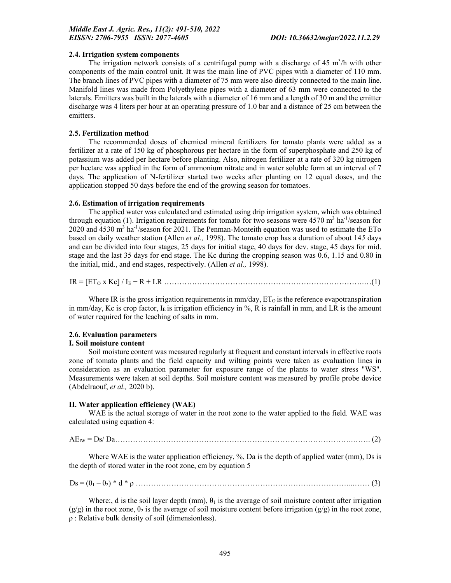### 2.4. Irrigation system components

The irrigation network consists of a centrifugal pump with a discharge of  $45 \text{ m}^3/\text{h}$  with other components of the main control unit. It was the main line of PVC pipes with a diameter of 110 mm. The branch lines of PVC pipes with a diameter of 75 mm were also directly connected to the main line. Manifold lines was made from Polyethylene pipes with a diameter of 63 mm were connected to the laterals. Emitters was built in the laterals with a diameter of 16 mm and a length of 30 m and the emitter discharge was 4 liters per hour at an operating pressure of 1.0 bar and a distance of 25 cm between the emitters.

## 2.5. Fertilization method

The recommended doses of chemical mineral fertilizers for tomato plants were added as a fertilizer at a rate of 150 kg of phosphorous per hectare in the form of superphosphate and 250 kg of potassium was added per hectare before planting. Also, nitrogen fertilizer at a rate of 320 kg nitrogen per hectare was applied in the form of ammonium nitrate and in water soluble form at an interval of 7 days. The application of N-fertilizer started two weeks after planting on 12 equal doses, and the application stopped 50 days before the end of the growing season for tomatoes.

## 2.6. Estimation of irrigation requirements

The applied water was calculated and estimated using drip irrigation system, which was obtained through equation (1). Irrigation requirements for tomato for two seasons were  $4570 \text{ m}^3$  ha<sup>-1</sup>/season for 2020 and 4530 m<sup>3</sup> ha<sup>-1</sup>/season for 2021. The Penman-Monteith equation was used to estimate the ETo based on daily weather station (Allen *et al.,* 1998). The tomato crop has a duration of about 14*5* days and can be divided into four stages, 25 days for initial stage, 40 days for dev. stage, 45 days for mid. stage and the last 35 days for end stage. The Kc during the cropping season was 0.6, 1.15 and 0.80 in the initial, mid., and end stages, respectively. (Allen *et al.,* 1998).

IR = [ETO x Kc] / IE − R + LR …………………………………………………………………….…(1)

Where IR is the gross irrigation requirements in  $mm/day$ ,  $ET<sub>O</sub>$  is the reference evapotranspiration in mm/day, Kc is crop factor,  $I<sub>E</sub>$  is irrigation efficiency in %, R is rainfall in mm, and LR is the amount of water required for the leaching of salts in mm.

# 2.6. Evaluation parameters

## I. Soil moisture content

Soil moisture content was measured regularly at frequent and constant intervals in effective roots zone of tomato plants and the field capacity and wilting points were taken as evaluation lines in consideration as an evaluation parameter for exposure range of the plants to water stress "WS". Measurements were taken at soil depths. Soil moisture content was measured by profile probe device (Abdelraouf, *et al.,* 2020 b).

## II. Water application efficiency (WAE)

WAE is the actual storage of water in the root zone to the water applied to the field. WAE was calculated using equation 4:

AEIW = Ds/ Da………………………………………………………………………………….……. (2)

Where WAE is the water application efficiency, %, Da is the depth of applied water (mm), Ds is the depth of stored water in the root zone, cm by equation 5

Ds = (θ1 – θ2) \* d \* ρ …………………………………………………………………………...…… (3)

Where:, d is the soil layer depth (mm),  $\theta_1$  is the average of soil moisture content after irrigation  $(g/g)$  in the root zone,  $\theta_2$  is the average of soil moisture content before irrigation  $(g/g)$  in the root zone, ρ : Relative bulk density of soil (dimensionless).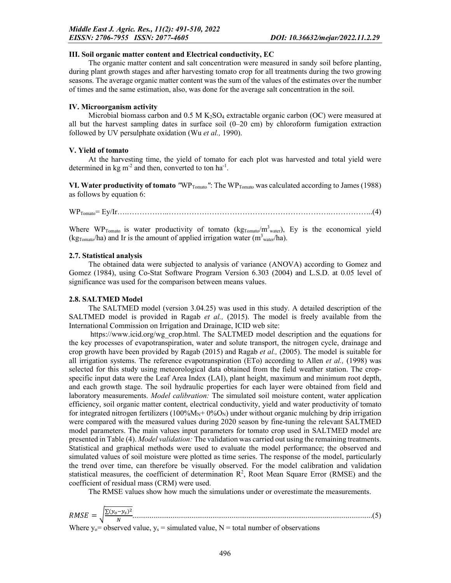#### III. Soil organic matter content and Electrical conductivity, EC

The organic matter content and salt concentration were measured in sandy soil before planting, during plant growth stages and after harvesting tomato crop for all treatments during the two growing seasons. The average organic matter content was the sum of the values of the estimates over the number of times and the same estimation, also, was done for the average salt concentration in the soil.

#### IV. Microorganism activity

Microbial biomass carbon and  $0.5 M K_2SO_4$  extractable organic carbon (OC) were measured at all but the harvest sampling dates in surface soil  $(0-20 \text{ cm})$  by chloroform fumigation extraction followed by UV persulphate oxidation (Wu *et al.,* 1990).

### V. Yield of tomato

At the harvesting time, the yield of tomato for each plot was harvested and total yield were determined in  $kg \text{ m}^{-2}$  and then, converted to ton  $ha^{-1}$ .

VI. Water productivity of tomato "WP<sub>Tomato</sub>": The WP<sub>Tomato</sub> was calculated according to James (1988) as follows by equation 6:

WPTomato= Ey/Ir….……………..……………………………………………………….……………..(4)

Where WP<sub>Tomato</sub> is water productivity of tomato ( $kg_{Tomato}/m^3$ <sub>water</sub>), Ey is the economical yield (kg<sub>Tomato</sub>/ha) and Ir is the amount of applied irrigation water (m<sup>3</sup><sub>water</sub>/ha).

### 2.7. Statistical analysis

The obtained data were subjected to analysis of variance (ANOVA) according to Gomez and Gomez (1984), using Co-Stat Software Program Version 6.303 (2004) and L.S.D. at 0.05 level of significance was used for the comparison between means values.

## 2.8. SALTMED Model

The SALTMED model (version 3.04.25) was used in this study. A detailed description of the SALTMED model is provided in Ragab *et al.,* (2015). The model is freely available from the International Commission on Irrigation and Drainage, ICID web site:

https://www.icid.org/wg\_crop.html. The SALTMED model description and the equations for the key processes of evapotranspiration, water and solute transport, the nitrogen cycle, drainage and crop growth have been provided by Ragab (2015) and Ragab *et al.,* (2005). The model is suitable for all irrigation systems. The reference evapotranspiration (ETo) according to Allen *et al.,* (1998) was selected for this study using meteorological data obtained from the field weather station. The cropspecific input data were the Leaf Area Index (LAI), plant height, maximum and minimum root depth, and each growth stage. The soil hydraulic properties for each layer were obtained from field and laboratory measurements. *Model calibration:* The simulated soil moisture content, water application efficiency, soil organic matter content, electrical conductivity, yield and water productivity of tomato for integrated nitrogen fertilizers  $(100\%M_N+0\%O_N)$  under without organic mulching by drip irrigation were compared with the measured values during 2020 season by fine-tuning the relevant SALTMED model parameters. The main values input parameters for tomato crop used in SALTMED model are presented in Table (4). *Model validation:* The validation was carried out using the remaining treatments. Statistical and graphical methods were used to evaluate the model performance; the observed and simulated values of soil moisture were plotted as time series. The response of the model, particularly the trend over time, can therefore be visually observed. For the model calibration and validation statistical measures, the coefficient of determination  $R^2$ , Root Mean Square Error (RMSE) and the coefficient of residual mass (CRM) were used.

The RMSE values show how much the simulations under or overestimate the measurements.

$$
RMSE = \sqrt{\frac{\sum (y_o - y_s)^2}{N}}
$$
 (5)

Where  $y_0$  = observed value,  $y_s$  = simulated value, N = total number of observations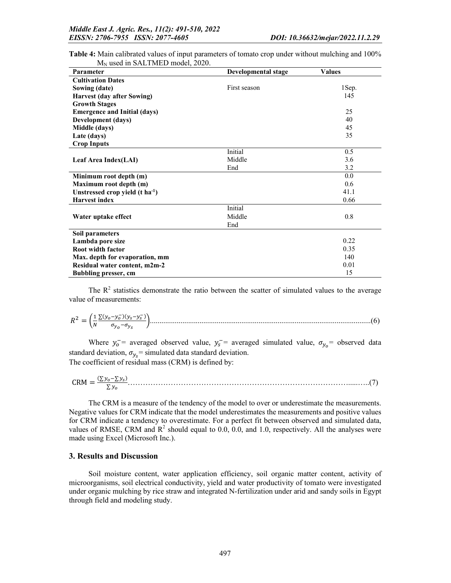| Parameter                                   | Developmental stage | <b>Values</b> |
|---------------------------------------------|---------------------|---------------|
| <b>Cultivation Dates</b>                    |                     |               |
| Sowing (date)                               | First season        | 1Sep.         |
| <b>Harvest (day after Sowing)</b>           |                     | 145           |
| <b>Growth Stages</b>                        |                     |               |
| <b>Emergence and Initial (days)</b>         |                     | 25            |
| Development (days)                          |                     | 40            |
| Middle (days)                               |                     | 45            |
| Late (days)                                 |                     | 35            |
| <b>Crop Inputs</b>                          |                     |               |
|                                             | Initial             | 0.5           |
| Leaf Area Index(LAI)                        | Middle              | 3.6           |
|                                             | End                 | 3.2           |
| Minimum root depth (m)                      |                     | 0.0           |
| Maximum root depth (m)                      |                     | 0.6           |
| Unstressed crop yield $(t \text{ ha}^{-1})$ |                     | 41.1          |
| <b>Harvest index</b>                        |                     | 0.66          |
|                                             | Initial             |               |
| Water uptake effect                         | Middle              | 0.8           |
|                                             | End                 |               |
| Soil parameters                             |                     |               |
| Lambda pore size                            |                     | 0.22          |
| <b>Root width factor</b>                    |                     | 0.35          |
| Max. depth for evaporation, mm              |                     | 140           |
| Residual water content, m2m-2               |                     | 0.01          |
| <b>Bubbling presser, cm</b>                 |                     | 15            |

Table 4: Main calibrated values of input parameters of tomato crop under without mulching and 100% M<sub>N</sub> used in SALTMED model, 2020.

The  $R<sup>2</sup>$  statistics demonstrate the ratio between the scatter of simulated values to the average value of measurements:

 = ∑( )( ) ....................................................................................................................(6)

Where  $y_0^-$  averaged observed value,  $y_s^-$  averaged simulated value,  $\sigma_{y_0}$  observed data standard deviation,  $\sigma_{y_s}$  = simulated data standard deviation. The coefficient of residual mass (CRM) is defined by:

$$
CRM = \frac{(\Sigma y_0 - \Sigma y_5)}{\Sigma y_0} \tag{7}
$$

The CRM is a measure of the tendency of the model to over or underestimate the measurements. Negative values for CRM indicate that the model underestimates the measurements and positive values for CRM indicate a tendency to overestimate. For a perfect fit between observed and simulated data, values of RMSE, CRM and  $R^2$  should equal to 0.0, 0.0, and 1.0, respectively. All the analyses were made using Excel (Microsoft Inc.).

#### 3. Results and Discussion

Soil moisture content, water application efficiency, soil organic matter content, activity of microorganisms, soil electrical conductivity, yield and water productivity of tomato were investigated under organic mulching by rice straw and integrated N-fertilization under arid and sandy soils in Egypt through field and modeling study.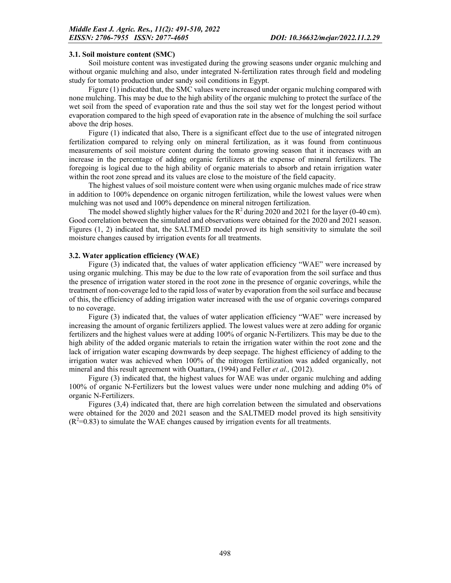#### 3.1. Soil moisture content (SMC)

Soil moisture content was investigated during the growing seasons under organic mulching and without organic mulching and also, under integrated N-fertilization rates through field and modeling study for tomato production under sandy soil conditions in Egypt.

Figure (1) indicated that, the SMC values were increased under organic mulching compared with none mulching. This may be due to the high ability of the organic mulching to protect the surface of the wet soil from the speed of evaporation rate and thus the soil stay wet for the longest period without evaporation compared to the high speed of evaporation rate in the absence of mulching the soil surface above the drip hoses.

Figure (1) indicated that also, There is a significant effect due to the use of integrated nitrogen fertilization compared to relying only on mineral fertilization, as it was found from continuous measurements of soil moisture content during the tomato growing season that it increases with an increase in the percentage of adding organic fertilizers at the expense of mineral fertilizers. The foregoing is logical due to the high ability of organic materials to absorb and retain irrigation water within the root zone spread and its values are close to the moisture of the field capacity.

The highest values of soil moisture content were when using organic mulches made of rice straw in addition to 100% dependence on organic nitrogen fertilization, while the lowest values were when mulching was not used and 100% dependence on mineral nitrogen fertilization.

The model showed slightly higher values for the  $R<sup>2</sup>$  during 2020 and 2021 for the layer (0-40 cm). Good correlation between the simulated and observations were obtained for the 2020 and 2021 season. Figures (1, 2) indicated that, the SALTMED model proved its high sensitivity to simulate the soil moisture changes caused by irrigation events for all treatments.

### 3.2. Water application efficiency (WAE)

Figure (3) indicated that, the values of water application efficiency "WAE" were increased by using organic mulching. This may be due to the low rate of evaporation from the soil surface and thus the presence of irrigation water stored in the root zone in the presence of organic coverings, while the treatment of non-coverage led to the rapid loss of water by evaporation from the soil surface and because of this, the efficiency of adding irrigation water increased with the use of organic coverings compared to no coverage.

Figure (3) indicated that, the values of water application efficiency "WAE" were increased by increasing the amount of organic fertilizers applied. The lowest values were at zero adding for organic fertilizers and the highest values were at adding 100% of organic N-Fertilizers. This may be due to the high ability of the added organic materials to retain the irrigation water within the root zone and the lack of irrigation water escaping downwards by deep seepage. The highest efficiency of adding to the irrigation water was achieved when 100% of the nitrogen fertilization was added organically, not mineral and this result agreement with Ouattara, (1994) and Feller *et al.,* (2012).

Figure (3) indicated that, the highest values for WAE was under organic mulching and adding 100% of organic N-Fertilizers but the lowest values were under none mulching and adding 0% of organic N-Fertilizers.

Figures (3,4) indicated that, there are high correlation between the simulated and observations were obtained for the 2020 and 2021 season and the SALTMED model proved its high sensitivity  $(R<sup>2</sup>=0.83)$  to simulate the WAE changes caused by irrigation events for all treatments.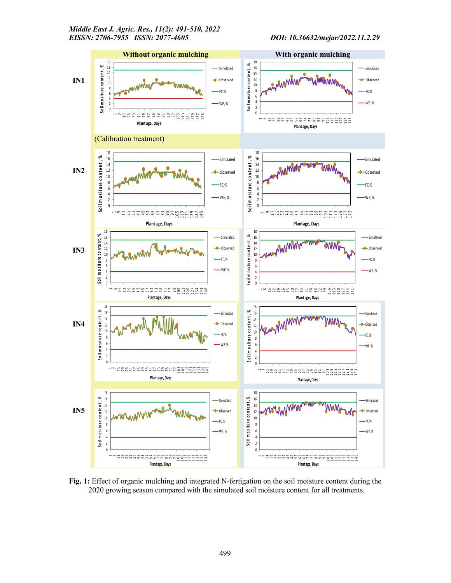

Fig. 1: Effect of organic mulching and integrated N-fertigation on the soil moisture content during the 2020 growing season compared with the simulated soil moisture content for all treatments.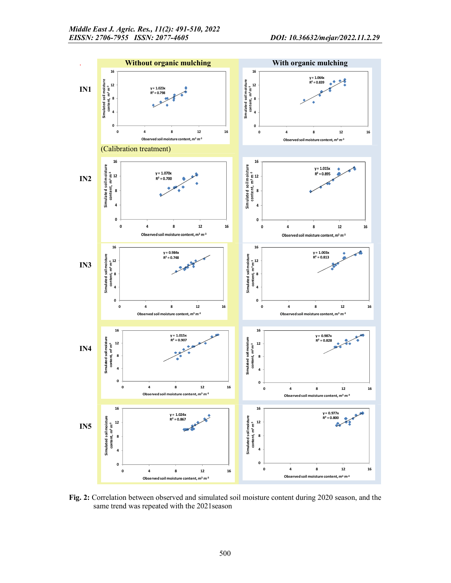

Fig. 2: Correlation between observed and simulated soil moisture content during 2020 season, and the same trend was repeated with the 2021season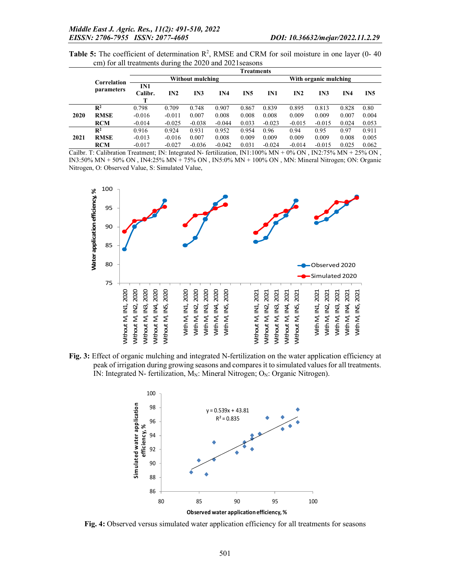Table 5: The coefficient of determination  $\mathbb{R}^2$ , RMSE and CRM for soil moisture in one layer (0-40 cm) for all treatments during the 2020 and 2021seasons

|            |                     | <b>Treatments</b> |                  |          |                 |       |          |                       |          |                 |       |  |
|------------|---------------------|-------------------|------------------|----------|-----------------|-------|----------|-----------------------|----------|-----------------|-------|--|
|            | Correlation         |                   | Without mulching |          |                 |       |          | With organic mulching |          |                 |       |  |
| parameters | IN1<br>Calibr.<br>т | IN2               | IN3              | IN4      | IN <sub>5</sub> | IN1   | IN2      | IN3                   | IN4      | IN <sub>5</sub> |       |  |
|            | $\mathbb{R}^2$      | 0.798             | 0.709            | 0.748    | 0.907           | 0.867 | 0.839    | 0.895                 | 0.813    | 0.828           | 0.80  |  |
| 2020       | <b>RMSE</b>         | $-0.016$          | $-0.011$         | 0.007    | 0.008           | 0.008 | 0.008    | 0.009                 | 0.009    | 0.007           | 0.004 |  |
|            | <b>RCM</b>          | $-0.014$          | $-0.025$         | $-0.038$ | $-0.044$        | 0.033 | $-0.023$ | $-0.015$              | $-0.015$ | 0.024           | 0.053 |  |
|            | $\mathbb{R}^2$      | 0.916             | 0.924            | 0.931    | 0.952           | 0.954 | 0.96     | 0.94                  | 0.95     | 0.97            | 0.911 |  |
| 2021       | <b>RMSE</b>         | $-0.013$          | $-0.016$         | 0.007    | 0.008           | 0.009 | 0.009    | 0.009                 | 0.009    | 0.008           | 0.005 |  |
|            | <b>RCM</b>          | $-0.017$          | $-0.027$         | $-0.036$ | $-0.042$        | 0.031 | $-0.024$ | $-0.014$              | $-0.015$ | 0.025           | 0.062 |  |

Cailbr. T: Calibration Treatment; IN: Integrated N- fertilization, IN1:100% MN + 0% ON , IN2:75% MN + 25% ON , IN3:50% MN + 50% ON , IN4:25% MN + 75% ON , IN5:0% MN + 100% ON , MN: Mineral Nitrogen; ON: Organic Nitrogen, O: Observed Value, S: Simulated Value,



Fig. 3: Effect of organic mulching and integrated N-fertilization on the water application efficiency at peak of irrigation during growing seasons and compares it to simulated values for all treatments. IN: Integrated N- fertilization,  $M_N$ : Mineral Nitrogen; O<sub>N</sub>: Organic Nitrogen).



Fig. 4: Observed versus simulated water application efficiency for all treatments for seasons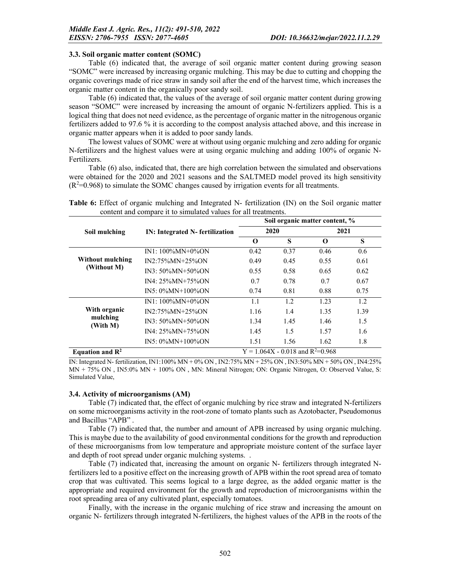#### 3.3. Soil organic matter content (SOMC)

Table (6) indicated that, the average of soil organic matter content during growing season "SOMC" were increased by increasing organic mulching. This may be due to cutting and chopping the organic coverings made of rice straw in sandy soil after the end of the harvest time, which increases the organic matter content in the organically poor sandy soil.

Table (6) indicated that, the values of the average of soil organic matter content during growing season "SOMC" were increased by increasing the amount of organic N-fertilizers applied. This is a logical thing that does not need evidence, as the percentage of organic matter in the nitrogenous organic fertilizers added to 97.6 % it is according to the compost analysis attached above, and this increase in organic matter appears when it is added to poor sandy lands.

The lowest values of SOMC were at without using organic mulching and zero adding for organic N-fertilizers and the highest values were at using organic mulching and adding 100% of organic N-Fertilizers.

Table (6) also, indicated that, there are high correlation between the simulated and observations were obtained for the 2020 and 2021 seasons and the SALTMED model proved its high sensitivity  $(R<sup>2</sup>=0.968)$  to simulate the SOMC changes caused by irrigation events for all treatments.

|  |  |  | Table 6: Effect of organic mulching and Integrated N- fertilization (IN) on the Soil organic matter |  |  |  |
|--|--|--|-----------------------------------------------------------------------------------------------------|--|--|--|
|  |  |  | content and compare it to simulated values for all treatments.                                      |  |  |  |

|                             |                                 | Soil organic matter content, % |                                      |      |      |  |  |
|-----------------------------|---------------------------------|--------------------------------|--------------------------------------|------|------|--|--|
| Soil mulching               | IN: Integrated N- fertilization |                                | 2020                                 | 2021 |      |  |  |
|                             |                                 | O                              | S                                    | О    | S    |  |  |
|                             | $IN1: 100\%MN+0\%ON$            | 0.42                           | 0.37                                 | 0.46 | 0.6  |  |  |
| Without mulching            | IN2:75%MN+25%ON                 | 0.49                           | 0.45                                 | 0.55 | 0.61 |  |  |
| (Without M)                 | $IN3: 50\%MN+50\%ON$            | 0.55                           | 0.58                                 | 0.65 | 0.62 |  |  |
|                             | $IN4: 25\%MN+75\%ON$            | 0.7                            | 0.78                                 | 0.7  | 0.67 |  |  |
|                             | $IN5: 0\%MN+100\%ON$            | 0.74                           | 0.81                                 | 0.88 | 0.75 |  |  |
|                             | $IN1: 100\%MN+0\%ON$            | 1.1                            | 1.2                                  | 1.23 | 1.2  |  |  |
| With organic                | IN2:75%MN+25%ON                 | 1.16                           | 1.4                                  | 1.35 | 1.39 |  |  |
| mulching<br>(With M)        | $IN3: 50\%MN+50\%ON$            | 1.34                           | 1.45                                 | 1.46 | 1.5  |  |  |
|                             | $IN4: 25\%MN+75\%ON$            | 1.45                           | 1.5                                  | 1.57 | 1.6  |  |  |
|                             | $IN5: 0\%MN+100\%ON$            | 1.51                           | 1.56                                 | 1.62 | 1.8  |  |  |
| Equation and $\mathbb{R}^2$ |                                 |                                | $Y = 1.064X - 0.018$ and $R^2=0.968$ |      |      |  |  |

IN: Integrated N- fertilization, IN1:100% MN + 0% ON , IN2:75% MN + 25% ON , IN3:50% MN + 50% ON , IN4:25% MN + 75% ON , IN5:0% MN + 100% ON , MN: Mineral Nitrogen; ON: Organic Nitrogen, O: Observed Value, S: Simulated Value,

## 3.4. Activity of microorganisms (AM)

Table (7) indicated that, the effect of organic mulching by rice straw and integrated N-fertilizers on some microorganisms activity in the root-zone of tomato plants such as Azotobacter, Pseudomonus and Bacillus "APB" .

Table (7) indicated that, the number and amount of APB increased by using organic mulching. This is maybe due to the availability of good environmental conditions for the growth and reproduction of these microorganisms from low temperature and appropriate moisture content of the surface layer and depth of root spread under organic mulching systems. .

Table (7) indicated that, increasing the amount on organic N- fertilizers through integrated Nfertilizers led to a positive effect on the increasing growth of APB within the root spread area of tomato crop that was cultivated. This seems logical to a large degree, as the added organic matter is the appropriate and required environment for the growth and reproduction of microorganisms within the root spreading area of any cultivated plant, especially tomatoes.

Finally, with the increase in the organic mulching of rice straw and increasing the amount on organic N- fertilizers through integrated N-fertilizers, the highest values of the APB in the roots of the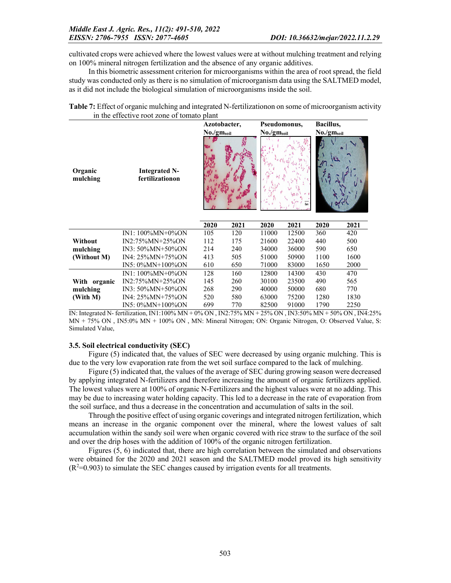cultivated crops were achieved where the lowest values were at without mulching treatment and relying on 100% mineral nitrogen fertilization and the absence of any organic additives.

In this biometric assessment criterion for microorganisms within the area of root spread, the field study was conducted only as there is no simulation of microorganism data using the SALTMED model, as it did not include the biological simulation of microorganisms inside the soil.

|                                            | Table 7: Effect of organic mulching and integrated N-fertilizationon on some of microorganism activity |
|--------------------------------------------|--------------------------------------------------------------------------------------------------------|
| in the effective root zone of tomato plant |                                                                                                        |

|                     |                                         | Azotobacter,           |      | Pseudomonus,           |       | Bacillus,              |      |
|---------------------|-----------------------------------------|------------------------|------|------------------------|-------|------------------------|------|
|                     |                                         | No./gm <sub>soil</sub> |      | No./gm <sub>soil</sub> |       | No./gm <sub>soil</sub> |      |
| Organic<br>mulching | <b>Integrated N-</b><br>fertilizationon |                        |      |                        |       |                        |      |
|                     |                                         | 2020                   | 2021 | 2020                   | 2021  | 2020                   | 2021 |
|                     | $IN1: 100\%MN+0\%ON$                    | 105                    | 120  | 11000                  | 12500 | 360                    | 420  |
| Without             | IN2:75%MN+25%ON                         | 112                    | 175  | 21600                  | 22400 | 440                    | 500  |
| mulching            | $IN3: 50\%MN+50\%ON$                    | 214                    | 240  | 34000                  | 36000 | 590                    | 650  |
| (Without M)         | IN4: 25%MN+75%ON                        | 413                    | 505  | 51000                  | 50900 | 1100                   | 1600 |
|                     | IN5: 0%MN+100%ON                        | 610                    | 650  | 71000                  | 83000 | 1650                   | 2000 |
|                     | $IN1: 100\%MN+0\%ON$                    | 128                    | 160  | 12800                  | 14300 | 430                    | 470  |
| With organic        | IN2:75%MN+25%ON                         | 145                    | 260  | 30100                  | 23500 | 490                    | 565  |
| mulching            | IN3: 50%MN+50%ON                        | 268                    | 290  | 40000                  | 50000 | 680                    | 770  |
| (With M)            | IN4: 25%MN+75%ON                        | 520                    | 580  | 63000                  | 75200 | 1280                   | 1830 |
|                     | IN5: 0%MN+100%ON                        | 699                    | 770  | 82500                  | 91000 | 1790                   | 2250 |

IN: Integrated N- fertilization, IN1:100% MN + 0% ON , IN2:75% MN + 25% ON , IN3:50% MN + 50% ON , IN4:25% MN + 75% ON , IN5:0% MN + 100% ON , MN: Mineral Nitrogen; ON: Organic Nitrogen, O: Observed Value, S: Simulated Value,

## 3.5. Soil electrical conductivity (SEC)

Figure (5) indicated that, the values of SEC were decreased by using organic mulching. This is due to the very low evaporation rate from the wet soil surface compared to the lack of mulching.

Figure (5) indicated that, the values of the average of SEC during growing season were decreased by applying integrated N-fertilizers and therefore increasing the amount of organic fertilizers applied. The lowest values were at 100% of organic N-Fertilizers and the highest values were at no adding. This may be due to increasing water holding capacity. This led to a decrease in the rate of evaporation from the soil surface, and thus a decrease in the concentration and accumulation of salts in the soil.

Through the positive effect of using organic coverings and integrated nitrogen fertilization, which means an increase in the organic component over the mineral, where the lowest values of salt accumulation within the sandy soil were when organic covered with rice straw to the surface of the soil and over the drip hoses with the addition of 100% of the organic nitrogen fertilization.

Figures (5, 6) indicated that, there are high correlation between the simulated and observations were obtained for the 2020 and 2021 season and the SALTMED model proved its high sensitivity  $(R<sup>2</sup>=0.903)$  to simulate the SEC changes caused by irrigation events for all treatments.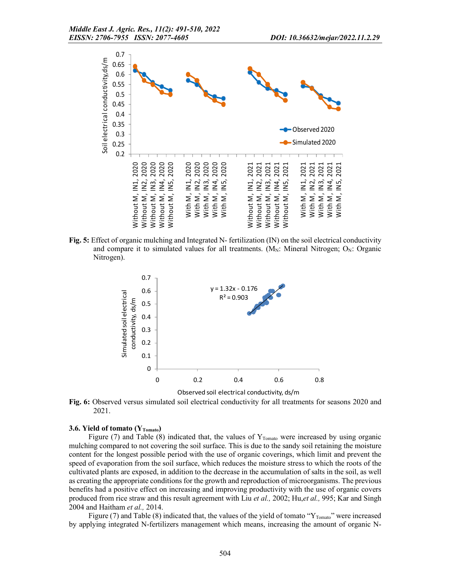

Fig. 5: Effect of organic mulching and Integrated N- fertilization (IN) on the soil electrical conductivity and compare it to simulated values for all treatments. ( $M_N$ : Mineral Nitrogen;  $O_N$ : Organic Nitrogen).



Fig. 6: Observed versus simulated soil electrical conductivity for all treatments for seasons 2020 and 2021.

#### 3.6. Yield of tomato  $(Y_{Tomato})$

Figure (7) and Table (8) indicated that, the values of  $Y_{Tomato}$  were increased by using organic mulching compared to not covering the soil surface. This is due to the sandy soil retaining the moisture content for the longest possible period with the use of organic coverings, which limit and prevent the speed of evaporation from the soil surface, which reduces the moisture stress to which the roots of the cultivated plants are exposed, in addition to the decrease in the accumulation of salts in the soil, as well as creating the appropriate conditions for the growth and reproduction of microorganisms. The previous benefits had a positive effect on increasing and improving productivity with the use of organic covers produced from rice straw and this result agreement with Liu *et al.,* 2002; Hu,*et al.,* 995; Kar and Singh 2004 and Haitham *et al.,* 2014.

Figure (7) and Table (8) indicated that, the values of the yield of tomato " $Y_{Tomato}$ " were increased by applying integrated N-fertilizers management which means, increasing the amount of organic N-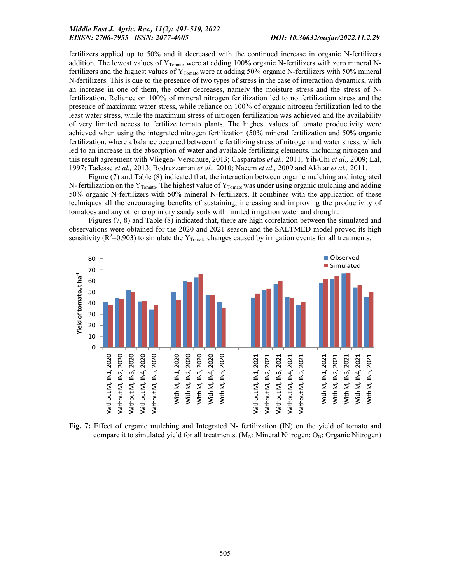fertilizers applied up to 50% and it decreased with the continued increase in organic N-fertilizers addition. The lowest values of  $Y_{Tomato}$  were at adding 100% organic N-fertilizers with zero mineral Nfertilizers and the highest values of Y<sub>Tomato</sub> were at adding 50% organic N-fertilizers with 50% mineral N-fertilizers. This is due to the presence of two types of stress in the case of interaction dynamics, with an increase in one of them, the other decreases, namely the moisture stress and the stress of Nfertilization. Reliance on 100% of mineral nitrogen fertilization led to no fertilization stress and the presence of maximum water stress, while reliance on 100% of organic nitrogen fertilization led to the least water stress, while the maximum stress of nitrogen fertilization was achieved and the availability of very limited access to fertilize tomato plants. The highest values of tomato productivity were achieved when using the integrated nitrogen fertilization (50% mineral fertilization and 50% organic fertilization, where a balance occurred between the fertilizing stress of nitrogen and water stress, which led to an increase in the absorption of water and available fertilizing elements, including nitrogen and this result agreement with Vliegen- Verschure, 2013; Gasparatos *et al.,* 2011; Yih-Chi *et al.,* 2009; Lal, 1997; Tadesse *et al.,* 2013; Bodruzzaman *et al.,* 2010; Naeem *et al.,* 2009 and Akhtar *et al.,* 2011.

Figure (7) and Table (8) indicated that, the interaction between organic mulching and integrated N- fertilization on the  $Y_{Tomato}$ . The highest value of  $Y_{Tomato}$  was under using organic mulching and adding 50% organic N-fertilizers with 50% mineral N-fertilizers. It combines with the application of these techniques all the encouraging benefits of sustaining, increasing and improving the productivity of tomatoes and any other crop in dry sandy soils with limited irrigation water and drought.

Figures (7, 8) and Table (8) indicated that, there are high correlation between the simulated and observations were obtained for the 2020 and 2021 season and the SALTMED model proved its high sensitivity ( $R^2$ =0.903) to simulate the  $Y_{Tomato}$  changes caused by irrigation events for all treatments.



Fig. 7: Effect of organic mulching and Integrated N- fertilization (IN) on the yield of tomato and compare it to simulated yield for all treatments.  $(M_N:$  Mineral Nitrogen;  $O_N:$  Organic Nitrogen)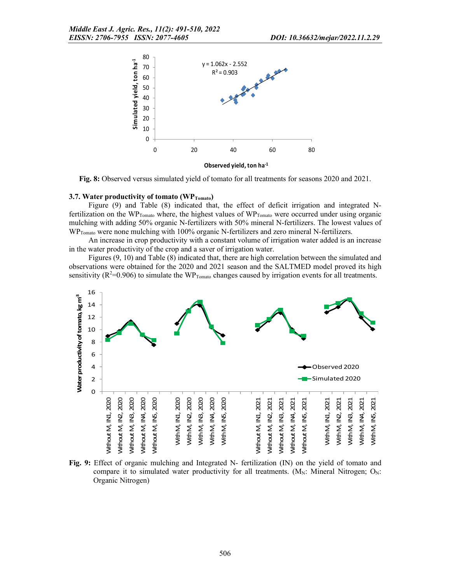

Fig. 8: Observed versus simulated yield of tomato for all treatments for seasons 2020 and 2021.

#### 3.7. Water productivity of tomato  $(WP_{Tomato})$

Figure (9) and Table (8) indicated that, the effect of deficit irrigation and integrated Nfertilization on the WP<sub>Tomato</sub> where, the highest values of WP<sub>Tomato</sub> were occurred under using organic mulching with adding 50% organic N-fertilizers with 50% mineral N-fertilizers. The lowest values of WP<sub>Tomato</sub> were none mulching with 100% organic N-fertilizers and zero mineral N-fertilizers.

An increase in crop productivity with a constant volume of irrigation water added is an increase in the water productivity of the crop and a saver of irrigation water.

Figures (9, 10) and Table (8) indicated that, there are high correlation between the simulated and observations were obtained for the 2020 and 2021 season and the SALTMED model proved its high sensitivity ( $R^2$ =0.906) to simulate the WP<sub>Tomato</sub> changes caused by irrigation events for all treatments.



Fig. 9: Effect of organic mulching and Integrated N- fertilization (IN) on the yield of tomato and compare it to simulated water productivity for all treatments.  $(M_N:$  Mineral Nitrogen;  $O_N$ : Organic Nitrogen)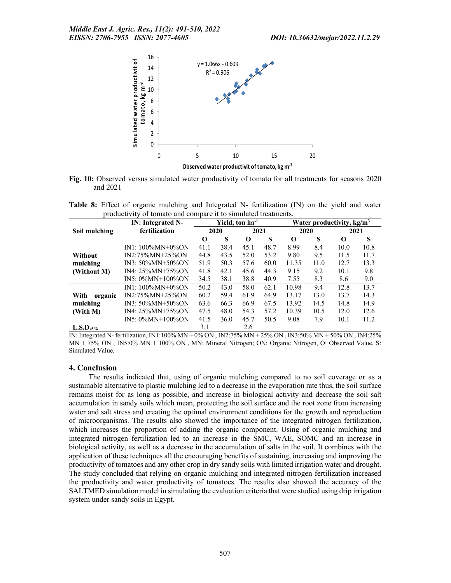

Observed water productivit of tomato, kg m-3

Fig. 10: Observed versus simulated water productivity of tomato for all treatments for seasons 2020 and 2021

Table 8: Effect of organic mulching and Integrated N- fertilization (IN) on the yield and water productivity of tomato and compare it to simulated treatments.

| productivity of tomato and compare it to simulated treatments. |                      |      |      |      |      |          |                                       |      |      |
|----------------------------------------------------------------|----------------------|------|------|------|------|----------|---------------------------------------|------|------|
| Yield, ton ha <sup>-1</sup><br><b>IN:</b> Integrated N-        |                      |      |      |      |      |          | Water productivity, kg/m <sup>3</sup> |      |      |
| Soil mulching                                                  | fertilization        |      | 2020 | 2021 |      | 2020     |                                       | 2021 |      |
|                                                                |                      | 0    | S    | О    | S    | $\Omega$ | S                                     | 0    | S    |
|                                                                | $IN1: 100\%MN+0\%ON$ | 41.1 | 38.4 | 45.1 | 48.7 | 8.99     | 8.4                                   | 10.0 | 10.8 |
| Without                                                        | IN2:75%MN+25%ON      | 44.8 | 43.5 | 52.0 | 53.2 | 9.80     | 9.5                                   | 11.5 | 11.7 |
| mulching                                                       | $IN3: 50\%MN+50\%ON$ | 51.9 | 50.3 | 57.6 | 60.0 | 11.35    | 11.0                                  | 12.7 | 13.3 |
| (Without M)                                                    | $IN4: 25\%MN+75\%ON$ | 41.8 | 42.1 | 45.6 | 44.3 | 9.15     | 9.2                                   | 10.1 | 9.8  |
|                                                                | $IN5: 0\%MN+100\%ON$ | 34.5 | 38.1 | 38.8 | 40.9 | 7.55     | 8.3                                   | 8.6  | 9.0  |
|                                                                | $IN1: 100\%MN+0\%ON$ | 50.2 | 43.0 | 58.0 | 62.1 | 10.98    | 9.4                                   | 12.8 | 13.7 |
| With<br>organic                                                | $IN2:75\%MN+25\%ON$  | 60.2 | 59.4 | 61.9 | 64.9 | 13.17    | 13.0                                  | 13.7 | 14.3 |
| mulching                                                       | $IN3: 50\%MN+50\%ON$ | 63.6 | 66.3 | 66.9 | 67.5 | 13.92    | 14.5                                  | 14.8 | 14.9 |
| (With M)                                                       | IN4: 25%MN+75%ON     | 47.5 | 48.0 | 54.3 | 57.2 | 10.39    | 10.5                                  | 12.0 | 12.6 |
|                                                                | $IN5: 0\%MN+100\%ON$ | 41.5 | 36.0 | 45.7 | 50.5 | 9.08     | 7.9                                   | 10.1 | 11.2 |
| L.S.D.s.                                                       |                      | 3.1  |      | 2.6  |      |          |                                       |      |      |

IN: Integrated N- fertilization, IN1:100% MN + 0% ON , IN2:75% MN + 25% ON , IN3:50% MN + 50% ON , IN4:25% MN + 75% ON , IN5:0% MN + 100% ON , MN: Mineral Nitrogen; ON: Organic Nitrogen, O: Observed Value, S: Simulated Value.

#### 4. Conclusion

The results indicated that, using of organic mulching compared to no soil coverage or as a sustainable alternative to plastic mulching led to a decrease in the evaporation rate thus, the soil surface remains moist for as long as possible, and increase in biological activity and decrease the soil salt accumulation in sandy soils which mean, protecting the soil surface and the root zone from increasing water and salt stress and creating the optimal environment conditions for the growth and reproduction of microorganisms. The results also showed the importance of the integrated nitrogen fertilization, which increases the proportion of adding the organic component. Using of organic mulching and integrated nitrogen fertilization led to an increase in the SMC, WAE, SOMC and an increase in biological activity, as well as a decrease in the accumulation of salts in the soil. It combines with the application of these techniques all the encouraging benefits of sustaining, increasing and improving the productivity of tomatoes and any other crop in dry sandy soils with limited irrigation water and drought. The study concluded that relying on organic mulching and integrated nitrogen fertilization increased the productivity and water productivity of tomatoes. The results also showed the accuracy of the SALTMED simulation model in simulating the evaluation criteria that were studied using drip irrigation system under sandy soils in Egypt.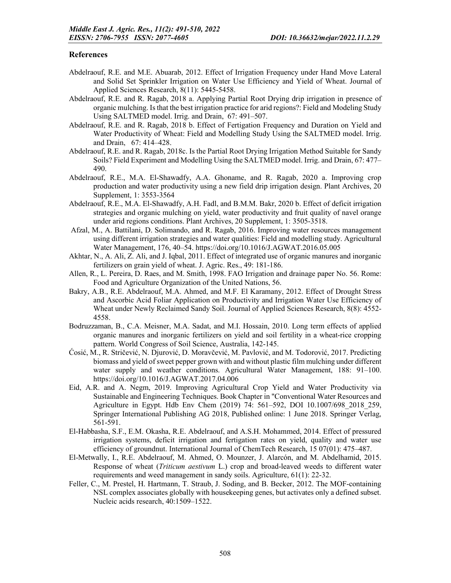## References

- Abdelraouf, R.E. and M.E. Abuarab, 2012. Effect of Irrigation Frequency under Hand Move Lateral and Solid Set Sprinkler Irrigation on Water Use Efficiency and Yield of Wheat. Journal of Applied Sciences Research, 8(11): 5445-5458.
- Abdelraouf, R.E. and R. Ragab, 2018 a. Applying Partial Root Drying drip irrigation in presence of organic mulching. Is that the best irrigation practice for arid regions?: Field and Modeling Study Using SALTMED model. Irrig. and Drain, 67: 491–507.
- Abdelraouf, R.E. and R. Ragab, 2018 b. Effect of Fertigation Frequency and Duration on Yield and Water Productivity of Wheat: Field and Modelling Study Using the SALTMED model. Irrig. and Drain, 67: 414–428.
- Abdelraouf, R.E. and R. Ragab, 2018c. Is the Partial Root Drying Irrigation Method Suitable for Sandy Soils? Field Experiment and Modelling Using the SALTMED model. Irrig. and Drain, 67: 477– 490.
- Abdelraouf, R.E., M.A. El-Shawadfy, A.A. Ghoname, and R. Ragab, 2020 a. Improving crop production and water productivity using a new field drip irrigation design. Plant Archives, 20 Supplement, 1: 3553-3564
- Abdelraouf, R.E., M.A. El-Shawadfy, A.H. Fadl, and B.M.M. Bakr, 2020 b. Effect of deficit irrigation strategies and organic mulching on yield, water productivity and fruit quality of navel orange under arid regions conditions. Plant Archives, 20 Supplement, 1: 3505-3518.
- Afzal, M., A. Battilani, D. Solimando, and R. Ragab, 2016. Improving water resources management using different irrigation strategies and water qualities: Field and modelling study. Agricultural Water Management, 176, 40–54. https://doi.org/10.1016/J.AGWAT.2016.05.005
- Akhtar, N., A. Ali, Z. Ali, and J. Iqbal, 2011. Effect of integrated use of organic manures and inorganic fertilizers on grain yield of wheat. J. Agric. Res., 49: 181-186.
- Allen, R., L. Pereira, D. Raes, and M. Smith, 1998. FAO Irrigation and drainage paper No. 56. Rome: Food and Agriculture Organization of the United Nations, 56.
- Bakry, A.B., R.E. Abdelraouf, M.A. Ahmed, and M.F. El Karamany, 2012. Effect of Drought Stress and Ascorbic Acid Foliar Application on Productivity and Irrigation Water Use Efficiency of Wheat under Newly Reclaimed Sandy Soil. Journal of Applied Sciences Research, 8(8): 4552- 4558.
- Bodruzzaman, B., C.A. Meisner, M.A. Sadat, and M.I. Hossain, 2010. Long term effects of applied organic manures and inorganic fertilizers on yield and soil fertility in a wheat-rice cropping pattern. World Congress of Soil Science, Australia, 142-145.
- Ćosić, M., R. Stričević, N. Djurović, D. Moravčević, M. Pavlović, and M. Todorović, 2017. Predicting biomass and yield of sweet pepper grown with and without plastic film mulching under different water supply and weather conditions. Agricultural Water Management, 188: 91–100. https://doi.org/10.1016/J.AGWAT.2017.04.006
- Eid, A.R. and A. Negm, 2019. Improving Agricultural Crop Yield and Water Productivity via Sustainable and Engineering Techniques. Book Chapter in "Conventional Water Resources and Agriculture in Egypt. Hdb Env Chem (2019) 74: 561–592, DOI 10.1007/698\_2018\_259, Springer International Publishing AG 2018, Published online: 1 June 2018. Springer Verlag, 561-591.
- El-Habbasha, S.F., E.M. Okasha, R.E. Abdelraouf, and A.S.H. Mohammed, 2014. Effect of pressured irrigation systems, deficit irrigation and fertigation rates on yield, quality and water use efficiency of groundnut. International Journal of ChemTech Research, 15 07(01): 475–487.
- El-Metwally, I., R.E. Abdelraouf, M. Ahmed, O. Mounzer, J. Alarcón, and M. Abdelhamid, 2015. Response of wheat (*Triticum aestivum* L.) crop and broad-leaved weeds to different water requirements and weed management in sandy soils. Agriculture, 61(1): 22-32.
- Feller, C., M. Prestel, H. Hartmann, T. Straub, J. Soding, and B. Becker, 2012. The MOF-containing NSL complex associates globally with housekeeping genes, but activates only a defined subset. Nucleic acids research, 40:1509–1522.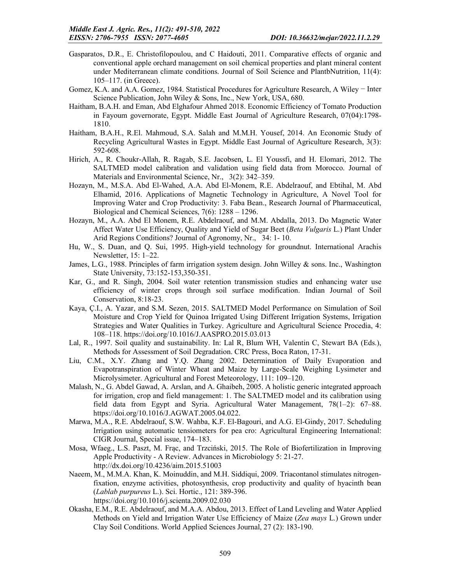- Gasparatos, D.R., E. Christofilopoulou, and C Haidouti, 2011. Comparative effects of organic and conventional apple orchard management on soil chemical properties and plant mineral content under Mediterranean climate conditions. Journal of Soil Science and PlantbNutrition, 11(4): 105–117. (in Greece).
- Gomez, K.A. and A.A. Gomez, 1984. Statistical Procedures for Agriculture Research, A Wiley − Inter Science Publication, John Wiley & Sons, Inc., New York, USA, 680.
- Haitham, B.A.H. and Eman, Abd Elghafour Ahmed 2018. Economic Efficiency of Tomato Production in Fayoum governorate, Egypt. Middle East Journal of Agriculture Research, 07(04):1798- 1810.
- Haitham, B.A.H., R.El. Mahmoud, S.A. Salah and M.M.H. Yousef, 2014. An Economic Study of Recycling Agricultural Wastes in Egypt. Middle East Journal of Agriculture Research, 3(3): 592-608.
- Hirich, A., R. Choukr-Allah, R. Ragab, S.E. Jacobsen, L. El Youssfi, and H. Elomari, 2012. The SALTMED model calibration and validation using field data from Morocco. Journal of Materials and Environmental Science, Nr., 3(2): 342–359.
- Hozayn, M., M.S.A. Abd El-Wahed, A.A. Abd El-Monem, R.E. Abdelraouf, and Ebtihal, M. Abd Elhamid, 2016. Applications of Magnetic Technology in Agriculture, A Novel Tool for Improving Water and Crop Productivity: 3. Faba Bean., Research Journal of Pharmaceutical, Biological and Chemical Sciences, 7(6): 1288 – 1296.
- Hozayn, M., A.A. Abd El Monem, R.E. Abdelraouf, and M.M. Abdalla, 2013. Do Magnetic Water Affect Water Use Efficiency, Quality and Yield of Sugar Beet (*Beta Vulgaris* L.) Plant Under Arid Regions Conditions? Journal of Agronomy, Nr., 34: 1- 10.
- Hu, W., S. Duan, and Q. Sui, 1995. High-yield technology for groundnut. International Arachis Newsletter, 15: 1–22.
- James, L.G., 1988. Principles of farm irrigation system design. John Willey & sons. Inc., Washington State University, 73:152-153,350-351.
- Kar, G., and R. Singh, 2004. Soil water retention transmission studies and enhancing water use efficiency of winter crops through soil surface modification. Indian Journal of Soil Conservation, 8:18-23.
- Kaya, Ç.I., A. Yazar, and S.M. Sezen, 2015. SALTMED Model Performance on Simulation of Soil Moisture and Crop Yield for Quinoa Irrigated Using Different Irrigation Systems, Irrigation Strategies and Water Qualities in Turkey. Agriculture and Agricultural Science Procedia, 4: 108–118. https://doi.org/10.1016/J.AASPRO.2015.03.013
- Lal, R., 1997. Soil quality and sustainability. In: Lal R, Blum WH, Valentin C, Stewart BA (Eds.), Methods for Assessment of Soil Degradation. CRC Press, Boca Raton, 17-31.
- Liu, C.M., X.Y. Zhang and Y.Q. Zhang 2002. Determination of Daily Evaporation and Evapotranspiration of Winter Wheat and Maize by Large-Scale Weighing Lysimeter and Microlysimeter. Agricultural and Forest Meteorology, 111: 109–120.
- Malash, N., G. Abdel Gawad, A. Arslan, and A. Ghaibeh, 2005. A holistic generic integrated approach for irrigation, crop and field management: 1. The SALTMED model and its calibration using field data from Egypt and Syria. Agricultural Water Management, 78(1–2): 67–88. https://doi.org/10.1016/J.AGWAT.2005.04.022.
- Marwa, M.A., R.E. Abdelraouf, S.W. Wahba, K.F. El-Bagouri, and A.G. El-Gindy, 2017. Scheduling Irrigation using automatic tensiometers for pea cro: Agricultural Engineering International: CIGR Journal, Special issue, 174–183.
- Mosa, Wfaeg., L.S. Paszt, M. Frąc, and Trzciński, 2015. The Role of Biofertilization in Improving Apple Productivity - A Review. Advances in Microbiology 5: 21-27. http://dx.doi.org/10.4236/aim.2015.51003
- Naeem, M., M.M.A. Khan, K. Moinuddin, and M.H. Siddiqui, 2009. Triacontanol stimulates nitrogenfixation, enzyme activities, photosynthesis, crop productivity and quality of hyacinth bean (*Lablab purpureus* L.). Sci. Hortic., 121: 389-396. https://doi.org/10.1016/j.scienta.2009.02.030
- Okasha, E.M., R.E. Abdelraouf, and M.A.A. Abdou, 2013. Effect of Land Leveling and Water Applied Methods on Yield and Irrigation Water Use Efficiency of Maize (*Zea mays* L.) Grown under Clay Soil Conditions. World Applied Sciences Journal, 27 (2): 183-190.